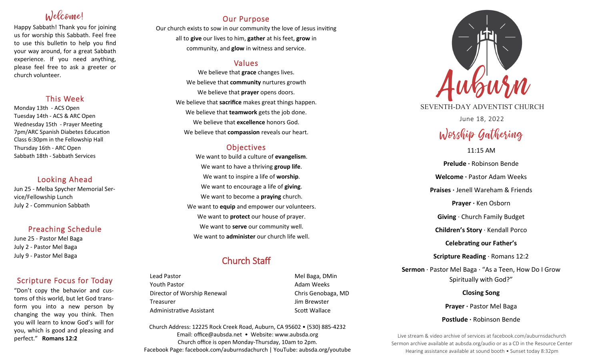# Inlecconnel

Happy Sabbath! Thank you for joining us for worship this Sabbath. Feel free to use this bulletin to help you find your way around, for a great Sabbath experience. If you need anything, please feel free to ask a greeter or church volunteer.

## This Week

Monday 13th - ACS Open Tuesday 14th - ACS & ARC Open Wednesday 15th - Prayer Meeting 7pm/ARC Spanish Diabetes Education Class 6:30pm in the Fellowship Hall Thursday 16th - ARC Open Sabbath 18th - Sabbath Services

### Looking Ahead

Jun 25 - Melba Spycher Memorial Service/Fellowship Lunch July 2 - Communion Sabbath

## Preaching Schedule

June 25 - Pastor Mel Baga July 2 - Pastor Mel Baga July 9 - Pastor Mel Baga

## Scripture Focus for Today

"Don't copy the behavior and customs of this world, but let God transform you into a new person by changing the way you think. Then you will learn to know God's will for you, which is good and pleasing and perfect." **Romans 12:2** 

## Our Purpose

Our church exists to sow in our community the love of Jesus inviting all to **give** our lives to him, **gather** at his feet, **grow** in community, and **glow** in witness and service.

## Values

We believe that **grace** changes lives. We believe that **community** nurtures growth We believe that **prayer** opens doors. We believe that **sacrifice** makes great things happen. We believe that **teamwork** gets the job done. We believe that **excellence** honors God. We believe that **compassion** reveals our heart.

## **Objectives**

We want to build a culture of **evangelism**. We want to have a thriving **group life**. We want to inspire a life of **worship**. We want to encourage a life of **giving**. We want to become a **praying** church. We want to **equip** and empower our volunteers. We want to **protect** our house of prayer. We want to **serve** our community well. We want to **administer** our church life well.

## Church Staff

Lead Pastor **Mel Baga, DMin** Youth Pastor **Adam Weeks Adam Weeks** Director of Worship Renewal **Chris Genobaga**, MD Treasurer Jim Brewster Administrative Assistant **Scott Wallace** Scott Wallace

Church Address: 12225 Rock Creek Road, Auburn, CA 95602 • (530) 885-4232 Email: office@aubsda.net • Website: www.aubsda.org Church office is open Monday-Thursday, 10am to 2pm. Facebook Page: facebook.com/auburnsdachurch | YouTube: aubsda.org/youtube



SEVENTH-DAY ADVENTIST CHURCH

June 18, 2022

# Worship Gathering

11:15 AM **Prelude ·** Robinson Bende **Welcome ·** Pastor Adam Weeks **Praises ·** Jenell Wareham & Friends **Prayer ·** Ken Osborn **Giving** · Church Family Budget **Children's Story** · Kendall Porco **Celebrating our Father's Scripture Reading** · Romans 12:2 **Sermon** · Pastor Mel Baga · "As a Teen, How Do I Grow Spiritually with God?" **Closing Song** Prayer · Pastor Mel Baga

**Postlude ·** Robinson Bende

Live stream & video archive of services at facebook.com/auburnsdachurch Sermon archive available at aubsda.org/audio or as a CD in the Resource Center Hearing assistance available at sound booth • Sunset today 8:32pm